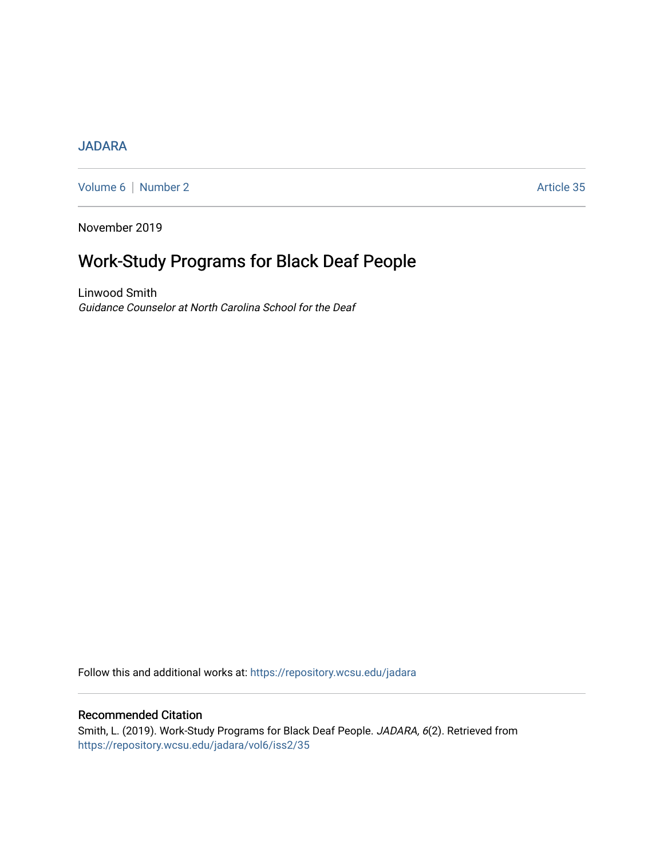## [JADARA](https://repository.wcsu.edu/jadara)

[Volume 6](https://repository.wcsu.edu/jadara/vol6) | [Number 2](https://repository.wcsu.edu/jadara/vol6/iss2) Article 35

November 2019

# Work-Study Programs for Black Deaf People

Linwood Smith Guidance Counselor at North Carolina School for the Deaf

Follow this and additional works at: [https://repository.wcsu.edu/jadara](https://repository.wcsu.edu/jadara?utm_source=repository.wcsu.edu%2Fjadara%2Fvol6%2Fiss2%2F35&utm_medium=PDF&utm_campaign=PDFCoverPages)

## Recommended Citation

Smith, L. (2019). Work-Study Programs for Black Deaf People. JADARA, 6(2). Retrieved from [https://repository.wcsu.edu/jadara/vol6/iss2/35](https://repository.wcsu.edu/jadara/vol6/iss2/35?utm_source=repository.wcsu.edu%2Fjadara%2Fvol6%2Fiss2%2F35&utm_medium=PDF&utm_campaign=PDFCoverPages)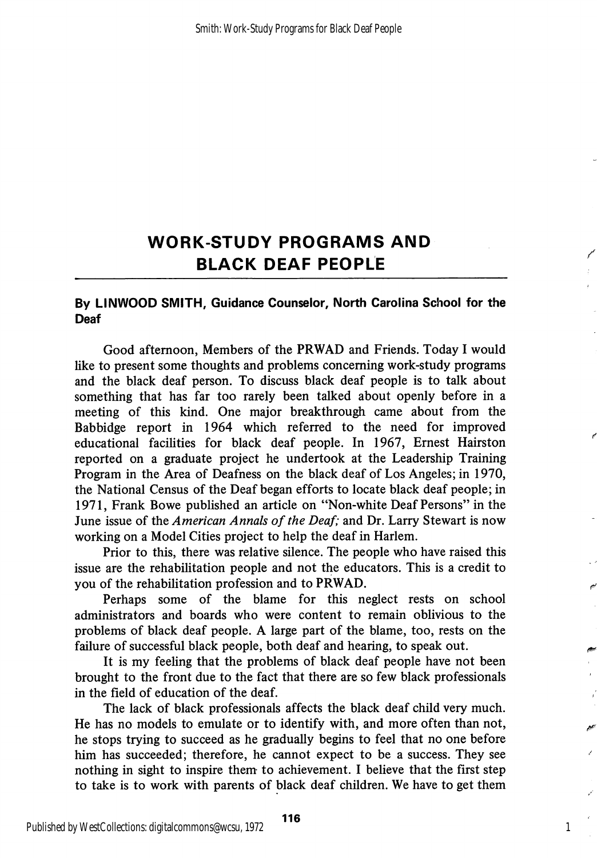## WORK-STUDY PROGRAMS AND BLACK DEAF PEOPLE

### By LINWOOD SMITH, Guidance Counselor, North Carolina School for the Deaf

Good afternoon, Members of the PRWAD and Friends. Today I would like to present some thoughts and problems concerning work-study programs and the black deaf person. To discuss black deaf people is to talk about something that has far too rarely been talked about openly before in a meeting of this kind. One major breakthrough came about from the Babbidge report in 1964 which referred to the need for improved educational facilities for black deaf people. In 1967, Ernest Hairston reported on a graduate project he undertook at the Leadership Training Program in the Area of Deafness on the black deaf of Los Angeles; in 1970, the National Census of the Deaf began efforts to locate black deaf people; in 1971, Frank Bowe published an article on "Non-white Deaf Persons" in the June issue of the American Annals of the Deaf; and Dr. Larry Stewart is now working on a Model Cities project to help the deaf in Harlem.

Prior to this, there was relative silence. The people who have raised this issue are the rehabilitation people and not the educators. This is a credit to you of the rehabilitation profession and to PRWAD.

Perhaps some of the blame for this neglect rests on school administrators and boards who were content to remain oblivious to the problems of black deaf people. A large part of the blame, too, rests on the failure of successful black people, both deaf and hearing, to speak out.

It is my feeling that the problems of black deaf people have not been brought to the front due to the fact that there are so few black professionals in the field of education of the deaf.

The lack of black professionals affects the black deaf child very much. He has no models to emulate or to identify with, and more often than not, he stops trying to succeed as he gradually begins to feel that no one before him has succeeded; therefore, he cannot expect to be a success. They see nothing in sight to inspire them to achievement. I believe that the first step to take is to work with parents of black deaf children. We have to get them

1

ŕ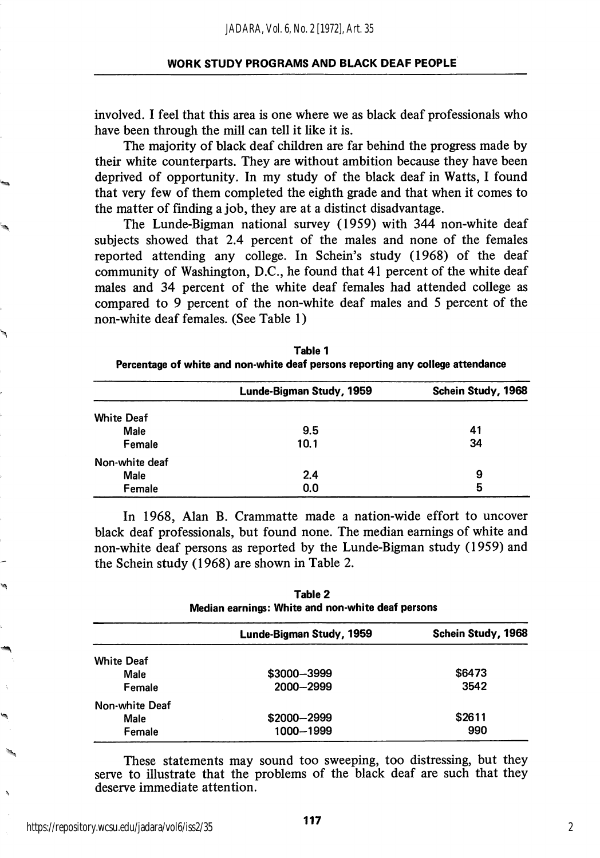involved. I feel that this area is one where we as black deaf professionals who have been through the mill can tell it like it is.

The majority of black deaf children are far behind the progress made by their white counterparts. They are without ambition because they have been deprived of opportunity. In my study of the black deaf in Watts, I found that very few of them completed the eighth grade and that when it comes to the matter of finding a job, they are at a distinct disadvantage.

The Lunde-Bigman national survey (1959) with 344 non-white deaf subjects showed that 2.4 percent of the males and none of the females reported attending any college. In Schein's study (1968) of the deaf community of Washington, D.C., he found that 41 percent of the white deaf males and 34 percent of the white deaf females had attended college as compared to 9 percent of the non-white deaf males and 5 percent of the non-white deaf females. (See Table I)

|                   | Lunde-Bigman Study, 1959 | Schein Study, 1968 |
|-------------------|--------------------------|--------------------|
| <b>White Deaf</b> |                          |                    |
| Male              | 9.5                      | 41                 |
| Female            | 10.1                     | 34                 |
| Non-white deaf    |                          |                    |
| Male              | 2.4                      | 9                  |
| Female            | 0.0                      | 5                  |

Table 1 Percentage of white and non-white deaf persons reporting any college attendance

In 1968, Alan B. Crammatte made a nation-wide effort to uncover black deaf professionals, but found none. The median earnings of white and non-white deaf persons as reported by the Lunde-Bigman study (1959) and the Schein study (1968) are shown in Table 2.

Table 2

| тамс 2<br>Median earnings: White and non-white deaf persons |                          |                    |
|-------------------------------------------------------------|--------------------------|--------------------|
|                                                             | Lunde-Bigman Study, 1959 | Schein Study, 1968 |
| <b>White Deaf</b>                                           |                          |                    |
| Male                                                        | \$3000-3999              | \$6473             |
| Female                                                      | 2000-2999                | 3542               |
| Non-white Deaf                                              |                          |                    |
| Male                                                        | \$2000-2999              | \$2611             |
| Female                                                      | 1000-1999                | 990                |

These statements may sound too sweeping, too distressing, but they serve to illustrate that the problems of the black deaf are such that they deserve immediate attention.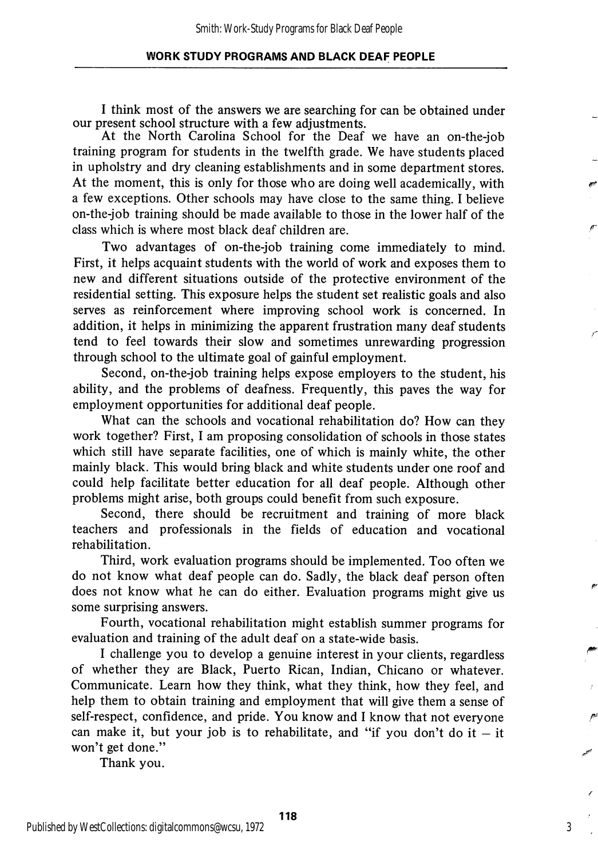I think most of the answers we are searching for can be obtained under our present school structure with a few adjustments.

At the North Carolina School for the Deaf we have an on-the-job training program for students in the twelfth grade. We have students placed in upholstry and dry cleaning establishments and in some department stores. At the moment, this is only for those who are doing well academically, with a few exceptions. Other schools may have close to the same thing. I believe on-the-job training should be made available to those in the lower half of the class which is where most black deaf children are.

Two advantages of on-the-job training come immediately to mind. First, it helps acquaint students with the world of work and exposes them to new and different situations outside of the protective environment of the residential setting. This exposure helps the student set realistic goals and also serves as reinforcement where improving school work is concerned. In addition, it helps in minimizing the apparent frustration many deaf students tend to feel towards their slow and sometimes unrewarding progression through school to the ultimate goal of gainful employment.

Second, on-the-job training helps expose employers to the student, his ability, and the problems of deafness. Frequently, this paves the way for employment opportunities for additional deaf people.

What can the schools and vocational rehabilitation do? How can they work together? First, I am proposing consolidation of schools in those states which still have separate facilities, one of which is mainly white, the other mainly black. This would bring black and white students under one roof and could help facilitate better education for all deaf people. Although other problems might arise, both groups could benefit from such exposure.

Second, there should be recruitment and training of more black teachers and professionals in the fields of education and vocational rehabilitation.

Third, work evaluation programs should be implemented. Too often we do not know what deaf people can do. Sadly, the black deaf person often does not know what he can do either. Evaluation programs might give us some surprising answers.

Fourth, vocational rehabilitation might establish summer programs for evaluation and training of the adult deaf on a state-wide basis.

I challenge you to develop a genuine interest in your clients, regardless of whether they are Black, Puerto Rican, Indian, Chicano or whatever. Communicate. Learn how they think, what they think, how they feel, and help them to obtain training and employment that will give them a sense of self-respect, confidence, and pride. You know and I know that not everyone can make it, but your job is to rehabilitate, and "if you don't do it  $-$  it won't get done."

Thank you.

3